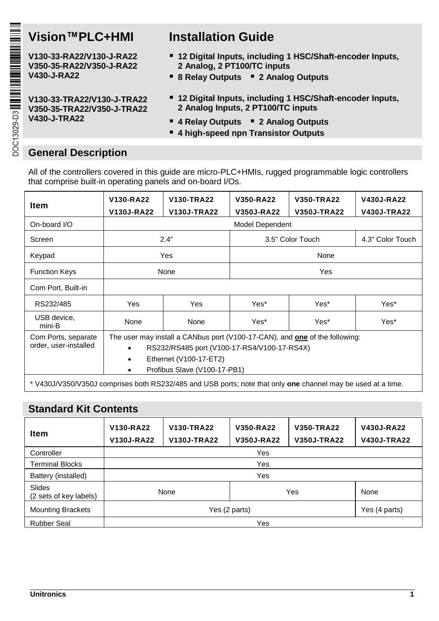**V130-33-RA22/V130-J-RA22 V350-35-RA22/V350-J-RA22 V430-J-RA22**

**V130-33-TRA22/V130-J-TRA22 V350-35-TRA22/V350-J-TRA22 V430-J-TRA22**

# **Vision™PLC+HMI Installation Guide**

- **12 Digital Inputs, including 1 HSC/Shaft-encoder Inputs, 2 Analog, 2 PT100/TC inputs**
- **8 Relay Outputs 2 Analog Outputs**
- **12 Digital Inputs, including 1 HSC/Shaft-encoder Inputs, 2 Analog Inputs, 2 PT100/TC inputs**
- **4 Relay Outputs 2 Analog Outputs**
- **4 high-speed npn Transistor Outputs**

## **General Description**

All of the controllers covered in this guide are micro-PLC+HMIs, rugged programmable logic controllers that comprise built-in operating panels and on-board I/Os.

| Item                                                                                                                | V130-RA22<br>V130J-RA22                                                                                                                                                                   | V130-TRA22<br>V130J-TRA22 | V350-RA22<br>V350J-RA22 | V350-TRA22<br>V350J-TRA22 | V430J-RA22<br><b>V430J-TRA22</b> |  |
|---------------------------------------------------------------------------------------------------------------------|-------------------------------------------------------------------------------------------------------------------------------------------------------------------------------------------|---------------------------|-------------------------|---------------------------|----------------------------------|--|
| On-board I/O                                                                                                        |                                                                                                                                                                                           |                           | Model Dependent         |                           |                                  |  |
| Screen                                                                                                              |                                                                                                                                                                                           | 2.4"                      |                         | 3.5" Color Touch          |                                  |  |
| Keypad                                                                                                              |                                                                                                                                                                                           | Yes                       |                         | None                      |                                  |  |
| <b>Function Keys</b>                                                                                                | None                                                                                                                                                                                      |                           | <b>Yes</b>              |                           |                                  |  |
| Com Port, Built-in                                                                                                  |                                                                                                                                                                                           |                           |                         |                           |                                  |  |
| RS232/485                                                                                                           | Yes                                                                                                                                                                                       | Yes                       | Yes*                    | Yes*                      | Yes*                             |  |
| USB device,<br>mini-B                                                                                               | None                                                                                                                                                                                      | None                      | Yes*                    | Yes*                      | Yes*                             |  |
| Com Ports, separate<br>order, user-installed                                                                        | The user may install a CANbus port (V100-17-CAN), and one of the following:<br>RS232/RS485 port (V100-17-RS4/V100-17-RS4X)<br>Ethernet (V100-17-ET2)<br>٠<br>Profibus Slave (V100-17-PB1) |                           |                         |                           |                                  |  |
| * V430J/V350/V350J comprises both RS232/485 and USB ports; note that only <b>one</b> channel may be used at a time. |                                                                                                                                                                                           |                           |                         |                           |                                  |  |

## **Standard Kit Contents**

| Item                             | V130-TRA22<br>V130-RA22<br>V130J-TRA22<br>V130J-RA22 |  | V350-TRA22<br>V350-RA22<br>V350J-RA22<br>V350J-TRA22 |  | <b>V430J-RA22</b><br>V430J-TRA22 |
|----------------------------------|------------------------------------------------------|--|------------------------------------------------------|--|----------------------------------|
| Controller                       |                                                      |  | Yes                                                  |  |                                  |
| <b>Terminal Blocks</b>           | Yes                                                  |  |                                                      |  |                                  |
| Battery (installed)              | Yes                                                  |  |                                                      |  |                                  |
| Slides<br>(2 sets of key labels) | None                                                 |  | Yes                                                  |  | None                             |
| <b>Mounting Brackets</b>         | Yes (2 parts)                                        |  |                                                      |  | Yes (4 parts)                    |
| <b>Rubber Seal</b>               | Yes                                                  |  |                                                      |  |                                  |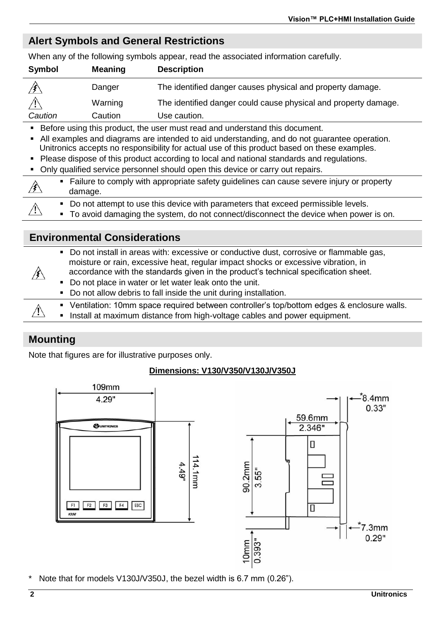## **Alert Symbols and General Restrictions**

When any of the following symbols appear, read the associated information carefully.

| Symbol  | Meaning | <b>Description</b>                                              |
|---------|---------|-----------------------------------------------------------------|
|         | Danger  | The identified danger causes physical and property damage.      |
|         | Warning | The identified danger could cause physical and property damage. |
| Caution | Caution | Use caution.                                                    |

Before using this product, the user must read and understand this document.

- All examples and diagrams are intended to aid understanding, and do not guarantee operation. Unitronics accepts no responsibility for actual use of this product based on these examples.
- Please dispose of this product according to local and national standards and regulations.
- Only qualified service personnel should open this device or carry out repairs.

| • Failure to comply with appropriate safety guidelines can cause severe injury or property<br>damage.                                                                                    |
|------------------------------------------------------------------------------------------------------------------------------------------------------------------------------------------|
| • Do not attempt to use this device with parameters that exceed permissible levels.<br>$\blacksquare$ To avoid damaging the system do not connect/disconnect the device when nower is on |

To avoid damaging the system, do not connect/disconnect the device when power is on.

### **Environmental Considerations**

| • Do not install in areas with: excessive or conductive dust, corrosive or flammable gas,                                                                                                                                                                                                                   |  |
|-------------------------------------------------------------------------------------------------------------------------------------------------------------------------------------------------------------------------------------------------------------------------------------------------------------|--|
| moisture or rain, excessive heat, regular impact shocks or excessive vibration, in<br>accordance with the standards given in the product's technical specification sheet.<br>• Do not place in water or let water leak onto the unit.<br>• Do not allow debris to fall inside the unit during installation. |  |
| • Ventilation: 10mm space required between controller's top/bottom edges & enclosure walls.                                                                                                                                                                                                                 |  |
| Æ<br>. Install at maximum distance from high-voltage cables and power equipment.                                                                                                                                                                                                                            |  |

### **Mounting**

Note that figures are for illustrative purposes only.

### **Dimensions: V130/V350/V130J/V350J**



Note that for models V130J/V350J, the bezel width is 6.7 mm (0.26").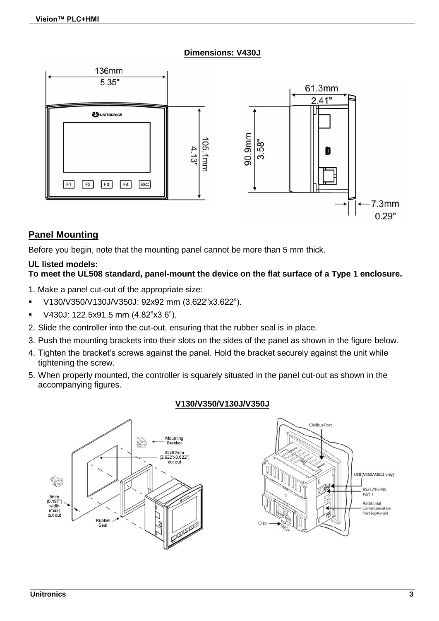### **Dimensions: V430J**



## **Panel Mounting**

Before you begin, note that the mounting panel cannot be more than 5 mm thick.

### **UL listed models:**

### **To meet the UL508 standard, panel-mount the device on the flat surface of a Type 1 enclosure.**

- 1. Make a panel cut-out of the appropriate size:
- V130/V350/V130J/V350J: 92x92 mm (3.622"x3.622").
- V430J: 122.5x91.5 mm (4.82"x3.6").
- 2. Slide the controller into the cut-out, ensuring that the rubber seal is in place.
- 3. Push the mounting brackets into their slots on the sides of the panel as shown in the figure below.
- 4. Tighten the bracket's screws against the panel. Hold the bracket securely against the unit while tightening the screw.
- 5. When properly mounted, the controller is squarely situated in the panel cut-out as shown in the accompanying figures.

### **V130/V350/V130J/V350J**

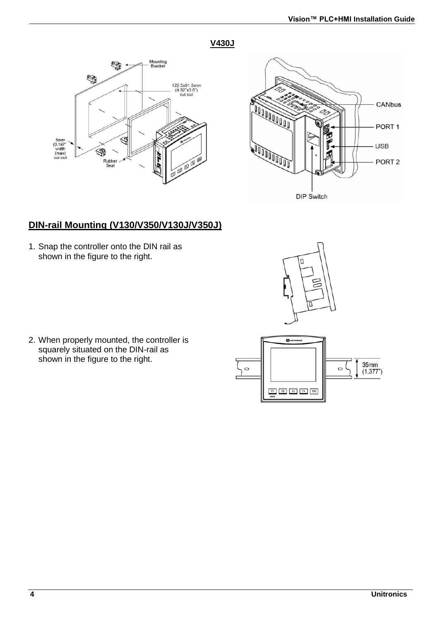### **V430J**





## **DIN-rail Mounting (V130/V350/V130J/V350J)**

1. Snap the controller onto the DIN rail as shown in the figure to the right.



2. When properly mounted, the controller is squarely situated on the DIN-rail as shown in the figure to the right.

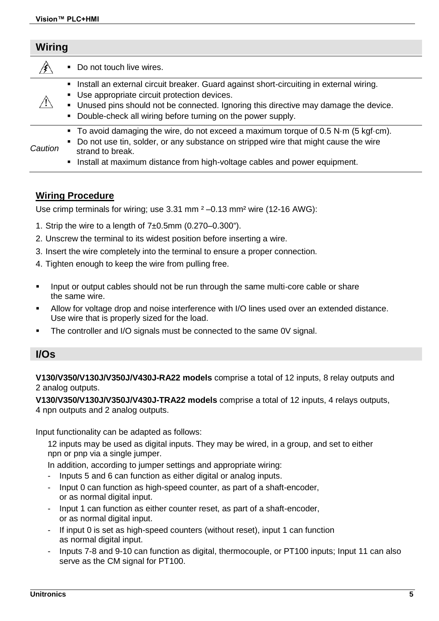| Wiring  |                                                                                                                                                                                                                                                                                                      |
|---------|------------------------------------------------------------------------------------------------------------------------------------------------------------------------------------------------------------------------------------------------------------------------------------------------------|
|         | • Do not touch live wires.                                                                                                                                                                                                                                                                           |
|         | • Install an external circuit breaker. Guard against short-circuiting in external wiring.<br>• Use appropriate circuit protection devices.<br>. Unused pins should not be connected. Ignoring this directive may damage the device.<br>• Double-check all wiring before turning on the power supply. |
| Caution | To avoid damaging the wire, do not exceed a maximum torque of 0.5 N $\cdot$ m (5 kgf $\cdot$ cm).<br>• Do not use tin, solder, or any substance on stripped wire that might cause the wire<br>strand to break.<br>. Install at maximum distance from high-voltage cables and power equipment.        |

### **Wiring Procedure**

Use crimp terminals for wiring; use  $3.31$  mm  $<sup>2</sup> - 0.13$  mm<sup>2</sup> wire (12-16 AWG):</sup>

- 1. Strip the wire to a length of  $7±0.5$ mm  $(0.270-0.300^{\circ}).$
- 2. Unscrew the terminal to its widest position before inserting a wire.
- 3. Insert the wire completely into the terminal to ensure a proper connection.
- 4. Tighten enough to keep the wire from pulling free.
- Input or output cables should not be run through the same multi-core cable or share the same wire.
- Allow for voltage drop and noise interference with I/O lines used over an extended distance. Use wire that is properly sized for the load.
- The controller and I/O signals must be connected to the same 0V signal.

### **I/Os**

**V130/V350/V130J/V350J/V430J-RA22 models** comprise a total of 12 inputs, 8 relay outputs and 2 analog outputs.

**V130/V350/V130J/V350J/V430J-TRA22 models** comprise a total of 12 inputs, 4 relays outputs, 4 npn outputs and 2 analog outputs.

Input functionality can be adapted as follows:

12 inputs may be used as digital inputs. They may be wired, in a group, and set to either npn or pnp via a single jumper.

In addition, according to jumper settings and appropriate wiring:

- Inputs 5 and 6 can function as either digital or analog inputs.
- Input 0 can function as high-speed counter, as part of a shaft-encoder, or as normal digital input.
- Input 1 can function as either counter reset, as part of a shaft-encoder, or as normal digital input.
- If input 0 is set as high-speed counters (without reset), input 1 can function as normal digital input.
- Inputs 7-8 and 9-10 can function as digital, thermocouple, or PT100 inputs; Input 11 can also serve as the CM signal for PT100.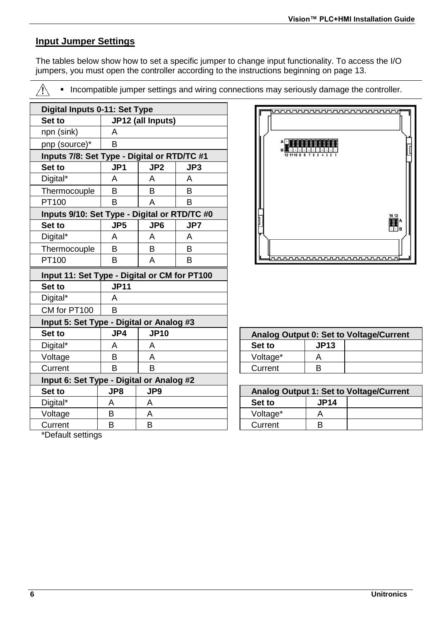## **Input Jumper Settings**

The tables below show how to set a specific jumper to change input functionality. To access the I/O jumpers, you must open the controller according to the instructions beginning on page 13.

Æ

**Incompatible jumper settings and wiring connections may seriously damage the controller.** 

|                                              |                 |                   | Digital Inputs 0-11: Set Type |          |                    |                                         |
|----------------------------------------------|-----------------|-------------------|-------------------------------|----------|--------------------|-----------------------------------------|
| Set to                                       |                 | JP12 (all Inputs) |                               |          |                    |                                         |
| npn (sink)                                   | A               |                   |                               |          |                    |                                         |
| pnp (source)*                                | B               |                   |                               |          |                    |                                         |
| Inputs 7/8: Set Type - Digital or RTD/TC #1  |                 |                   |                               |          |                    |                                         |
| Set to                                       | JP <sub>1</sub> | JP <sub>2</sub>   | JP3                           |          |                    |                                         |
| Digital*                                     | A               | A                 | A                             |          |                    |                                         |
| Thermocouple                                 | B               | B                 | B                             |          |                    |                                         |
| PT100                                        | B               | A                 | <sub>B</sub>                  |          |                    |                                         |
| Inputs 9/10: Set Type - Digital or RTD/TC #0 |                 |                   |                               |          |                    | 14 13                                   |
| Set to                                       | JP <sub>5</sub> | JP <sub>6</sub>   | JP7                           |          |                    | II <sup>A</sup>                         |
| Digital*                                     | A               | A                 | A                             |          |                    |                                         |
| Thermocouple                                 | B               | B                 | B                             |          |                    |                                         |
| PT100                                        | B               | A                 | B                             |          | <b>uuuuuuuuuuu</b> |                                         |
| Input 11: Set Type - Digital or CM for PT100 |                 |                   |                               |          |                    |                                         |
| Set to                                       | <b>JP11</b>     |                   |                               |          |                    |                                         |
| Digital*                                     | A               |                   |                               |          |                    |                                         |
| CM for PT100                                 | B               |                   |                               |          |                    |                                         |
| Input 5: Set Type - Digital or Analog #3     |                 |                   |                               |          |                    |                                         |
| Set to                                       | JP4             | <b>JP10</b>       |                               |          |                    | Analog Output 0: Set to Voltage/Current |
| Digital*                                     | A               | A                 |                               | Set to   | <b>JP13</b>        |                                         |
| Voltage                                      | B               | A                 |                               | Voltage* | A                  |                                         |
| Current                                      | B               | <sub>B</sub>      |                               | Current  | B                  |                                         |
| Input 6: Set Type - Digital or Analog #2     |                 |                   |                               |          |                    |                                         |
| Set to                                       | JP8             | JP9               |                               |          |                    | Analog Output 1: Set to Voltage/Current |
| Digital*                                     | A               | A                 |                               | Set to   | <b>JP14</b>        |                                         |
| Voltage                                      | B               | A                 |                               | Voltage* | A                  |                                         |
| Current                                      | B               | B                 |                               | Current  | B                  |                                         |



| Analog Output 0: Set to Voltage/Current |             |  |
|-----------------------------------------|-------------|--|
| Set to                                  | <b>JP13</b> |  |
| Voltage*                                |             |  |
| Current                                 | R           |  |

| Analog Output 1: Set to Voltage/Current |             |  |  |
|-----------------------------------------|-------------|--|--|
| Set to                                  | <b>JP14</b> |  |  |
| Voltage*                                |             |  |  |
| Current                                 |             |  |  |

\*Default settings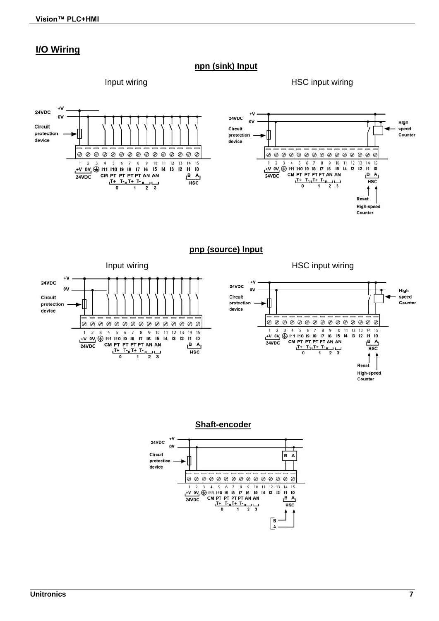### **I/O Wiring**

### **npn (sink) Input**

Input wiring HSC input wiring



### **pnp (source) Input**



**Shaft-encoder**



Counter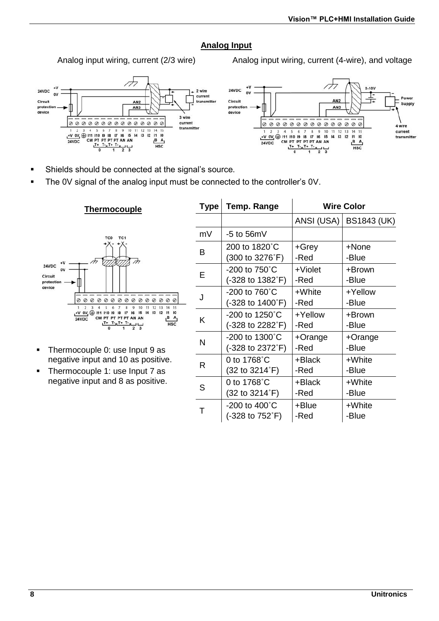### **Analog Input**

Analog input wiring, current (2/3 wire) Analog input wiring, current (4-wire), and voltage





- Shields should be connected at the signal's source.
- The 0V signal of the analog input must be connected to the controller's 0V.



 $**Thermocouple**$ </u>

- Thermocouple 0: use Input 9 as negative input and 10 as positive.
- Thermocouple 1: use Input 7 as negative input and 8 as positive.

| <b>Type</b> | Temp. Range                 |            | <b>Wire Color</b>        |
|-------------|-----------------------------|------------|--------------------------|
|             |                             |            | ANSI (USA)   BS1843 (UK) |
| mV          | $-5$ to 56mV                |            |                          |
| в           | 200 to 1820°C               | +Grev      | +None                    |
|             | (300 to 3276°F)             | -Red       | -Blue                    |
| F           | $-200$ to $750^{\circ}$ C   | $+$ Violet | +Brown                   |
|             | (-328 to 1382°F)            | -Red       | -Blue                    |
| J           | $-200$ to 760 $^{\circ}$ C  | +White     | +Yellow                  |
|             | (-328 to 1400°F)            | -Red       | -Blue                    |
| κ           | $-200$ to 1250 $^{\circ}$ C | +Yellow    | +Brown                   |
|             | (-328 to 2282°F)            | -Red       | -Blue                    |
| N           | $-200$ to 1300 $^{\circ}$ C | $+O$ range | +Orange                  |
|             | (-328 to 2372°F)            | -Red       | -Blue                    |
| R           | 0 to $1768^{\circ}$ C       | +Black     | +White                   |
|             | (32 to 3214°F)              | -Red       | -Blue                    |
| S           | 0 to $1768^{\circ}$ C       | $+Black$   | +White                   |
|             | (32 to 3214°F)              | -Red       | -Blue                    |
| т           | $-200$ to $400^{\circ}$ C   | +Blue      | +White                   |
|             | (-328 to 752°F)             | -Red       | -Blue                    |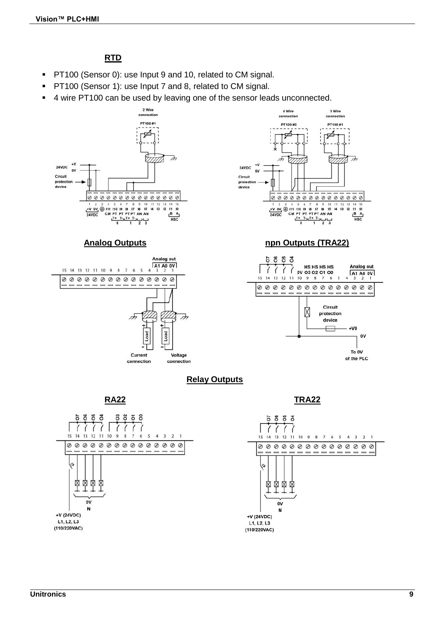## **RTD**

- **PT100 (Sensor 0): use Input 9 and 10, related to CM signal.**
- **PT100 (Sensor 1): use Input 7 and 8, related to CM signal.**
- 4 wire PT100 can be used by leaving one of the sensor leads unconnected.







### **Analog Outputs npn Outputs (TRA22)**



### **Relay Outputs**



**RA22 TRA22**

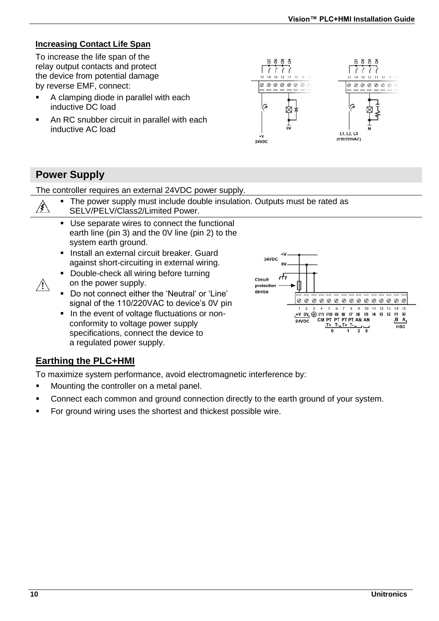### **Increasing Contact Life Span**

To increase the life span of the relay output contacts and protect the device from potential damage by reverse EMF, connect:

- A clamping diode in parallel with each inductive DC load
- An RC snubber circuit in parallel with each inductive AC load



## **Power Supply**

Æ.

The controller requires an external 24VDC power supply.

|               | • The power supply must include double insulation. Outputs must be rated as |  |
|---------------|-----------------------------------------------------------------------------|--|
| $\mathscr{B}$ | SELV/PELV/Class 2/Limited Power                                             |  |

| SELV/PELV/Class2/Limited Power. |
|---------------------------------|
|                                 |

- Use separate wires to connect the functional earth line (pin 3) and the 0V line (pin 2) to the system earth ground.
- **Install an external circuit breaker. Guard** against short-circuiting in external wiring.
- Double-check all wiring before turning on the power supply.
- Do not connect either the 'Neutral' or 'Line' signal of the 110/220VAC to device's 0V pin
- In the event of voltage fluctuations or nonconformity to voltage power supply specifications, connect the device to a regulated power supply.



## **Earthing the PLC+HMI**

To maximize system performance, avoid electromagnetic interference by:

- **Mounting the controller on a metal panel.**
- Connect each common and ground connection directly to the earth ground of your system.
- For ground wiring uses the shortest and thickest possible wire.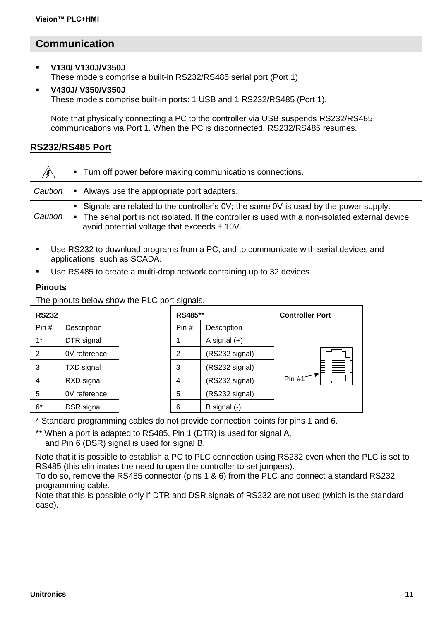## **Communication**

### **V130/ V130J/V350J**

These models comprise a built-in RS232/RS485 serial port (Port 1)

### **V430J/ V350/V350J**

These models comprise built-in ports: 1 USB and 1 RS232/RS485 (Port 1).

Note that physically connecting a PC to the controller via USB suspends RS232/RS485 communications via Port 1. When the PC is disconnected, RS232/RS485 resumes.

### **RS232/RS485 Port**

| ∕≸∖     | • Turn off power before making communications connections.                                                                                                                                                                                     |  |
|---------|------------------------------------------------------------------------------------------------------------------------------------------------------------------------------------------------------------------------------------------------|--|
| Caution | • Always use the appropriate port adapters.                                                                                                                                                                                                    |  |
| Caution | • Signals are related to the controller's 0V; the same 0V is used by the power supply.<br>. The serial port is not isolated. If the controller is used with a non-isolated external device,<br>avoid potential voltage that exceeds $\pm$ 10V. |  |

- Use RS232 to download programs from a PC, and to communicate with serial devices and applications, such as SCADA.
- Use RS485 to create a multi-drop network containing up to 32 devices.

## **Pinouts**

The pinouts below show the PLC port signals.

| <b>RS232</b> |                   | RS485** |                | <b>Controller Port</b> |  |  |
|--------------|-------------------|---------|----------------|------------------------|--|--|
| Pin#         | Description       | Pin#    | Description    |                        |  |  |
| $1*$         | DTR signal        |         | A signal $(+)$ |                        |  |  |
| 2            | 0V reference      | 2       | (RS232 signal) |                        |  |  |
| 3            | <b>TXD</b> signal | 3       | (RS232 signal) | $\equiv$               |  |  |
| 4            | RXD signal        | 4       | (RS232 signal) | Pin #1 <sup>-</sup>    |  |  |
| 5            | 0V reference      | 5       | (RS232 signal) |                        |  |  |
| $6*$         | DSR signal        | 6       | B signal (-)   |                        |  |  |

\* Standard programming cables do not provide connection points for pins 1 and 6.

\*\* When a port is adapted to RS485, Pin 1 (DTR) is used for signal A, and Pin 6 (DSR) signal is used for signal B.

Note that it is possible to establish a PC to PLC connection using RS232 even when the PLC is set to RS485 (this eliminates the need to open the controller to set jumpers).

To do so, remove the RS485 connector (pins 1 & 6) from the PLC and connect a standard RS232 programming cable.

Note that this is possible only if DTR and DSR signals of RS232 are not used (which is the standard case).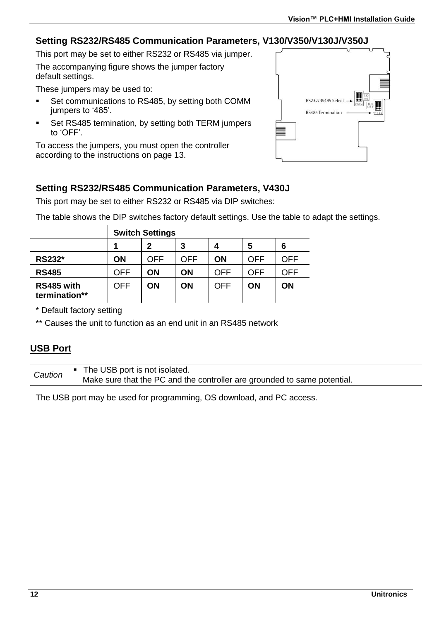### **Setting RS232/RS485 Communication Parameters, V130/V350/V130J/V350J**

This port may be set to either RS232 or RS485 via jumper.

The accompanying figure shows the jumper factory default settings.

These jumpers may be used to:

- Set communications to RS485, by setting both COMM jumpers to '485'.
- Set RS485 termination, by setting both TERM jumpers to 'OFF'.

To access the jumpers, you must open the controller according to the instructions on page 13.



## **Setting RS232/RS485 Communication Parameters, V430J**

This port may be set to either RS232 or RS485 via DIP switches:

The table shows the DIP switches factory default settings. Use the table to adapt the settings.

|                             | <b>Switch Settings</b> |     |     |     |     |     |
|-----------------------------|------------------------|-----|-----|-----|-----|-----|
|                             |                        | 2   | 3   | 4   | 5   | 6   |
| RS232*                      | ON                     | OFF | OFF | ON  | OFF | OFF |
| <b>RS485</b>                | OFF                    | ΟN  | ON  | OFF | OFF | OFF |
| RS485 with<br>termination** | OFF                    | ON  | ON  | OFF | ON  | ON  |

\* Default factory setting

\*\* Causes the unit to function as an end unit in an RS485 network

### **USB Port**

*Caution* The USB port is not isolated. Make sure that the PC and the controller are grounded to same potential.

The USB port may be used for programming, OS download, and PC access.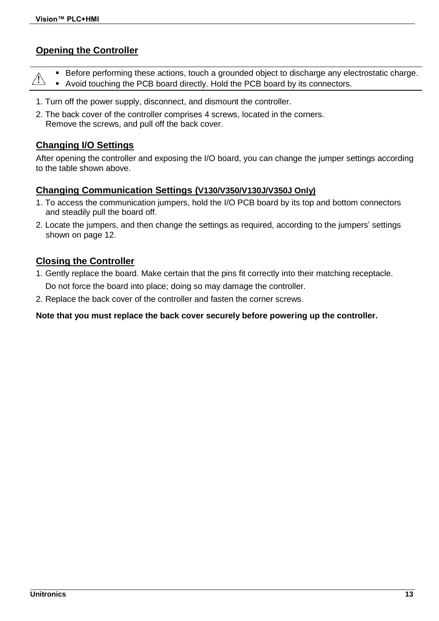### **Opening the Controller**

|  | ■ Before performing these actions, touch a grounded object to discharge any electrostatic charge.     |
|--|-------------------------------------------------------------------------------------------------------|
|  | $\hat{A}$ <b>Before performing above densities, the comparison of the PCB board by its connectors</b> |

- 1. Turn off the power supply, disconnect, and dismount the controller.
- 2. The back cover of the controller comprises 4 screws, located in the corners. Remove the screws, and pull off the back cover.

### **Changing I/O Settings**

After opening the controller and exposing the I/O board, you can change the jumper settings according to the table shown above.

### **Changing Communication Settings (V130/V350/V130J/V350J Only)**

- 1. To access the communication jumpers, hold the I/O PCB board by its top and bottom connectors and steadily pull the board off.
- 2. Locate the jumpers, and then change the settings as required, according to the jumpers' settings shown on page 12.

### **Closing the Controller**

- 1. Gently replace the board. Make certain that the pins fit correctly into their matching receptacle. Do not force the board into place; doing so may damage the controller.
- 2. Replace the back cover of the controller and fasten the corner screws.

### **Note that you must replace the back cover securely before powering up the controller.**